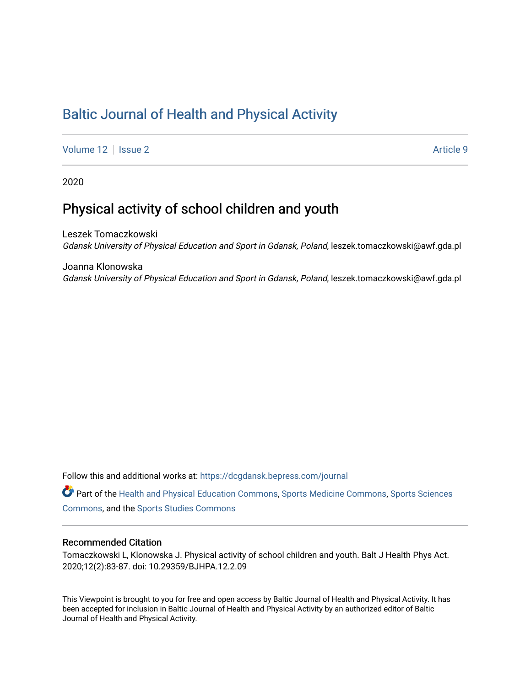# [Baltic Journal of Health and Physical Activity](https://dcgdansk.bepress.com/journal)

[Volume 12](https://dcgdansk.bepress.com/journal/vol12) | [Issue 2](https://dcgdansk.bepress.com/journal/vol12/iss2) Article 9

2020

# Physical activity of school children and youth

Leszek Tomaczkowski Gdansk University of Physical Education and Sport in Gdansk, Poland, leszek.tomaczkowski@awf.gda.pl

Joanna Klonowska Gdansk University of Physical Education and Sport in Gdansk, Poland, leszek.tomaczkowski@awf.gda.pl

Follow this and additional works at: [https://dcgdansk.bepress.com/journal](https://dcgdansk.bepress.com/journal?utm_source=dcgdansk.bepress.com%2Fjournal%2Fvol12%2Fiss2%2F9&utm_medium=PDF&utm_campaign=PDFCoverPages)

Part of the [Health and Physical Education Commons](http://network.bepress.com/hgg/discipline/1327?utm_source=dcgdansk.bepress.com%2Fjournal%2Fvol12%2Fiss2%2F9&utm_medium=PDF&utm_campaign=PDFCoverPages), [Sports Medicine Commons,](http://network.bepress.com/hgg/discipline/1331?utm_source=dcgdansk.bepress.com%2Fjournal%2Fvol12%2Fiss2%2F9&utm_medium=PDF&utm_campaign=PDFCoverPages) [Sports Sciences](http://network.bepress.com/hgg/discipline/759?utm_source=dcgdansk.bepress.com%2Fjournal%2Fvol12%2Fiss2%2F9&utm_medium=PDF&utm_campaign=PDFCoverPages) [Commons](http://network.bepress.com/hgg/discipline/759?utm_source=dcgdansk.bepress.com%2Fjournal%2Fvol12%2Fiss2%2F9&utm_medium=PDF&utm_campaign=PDFCoverPages), and the [Sports Studies Commons](http://network.bepress.com/hgg/discipline/1198?utm_source=dcgdansk.bepress.com%2Fjournal%2Fvol12%2Fiss2%2F9&utm_medium=PDF&utm_campaign=PDFCoverPages) 

#### Recommended Citation

Tomaczkowski L, Klonowska J. Physical activity of school children and youth. Balt J Health Phys Act. 2020;12(2):83-87. doi: 10.29359/BJHPA.12.2.09

This Viewpoint is brought to you for free and open access by Baltic Journal of Health and Physical Activity. It has been accepted for inclusion in Baltic Journal of Health and Physical Activity by an authorized editor of Baltic Journal of Health and Physical Activity.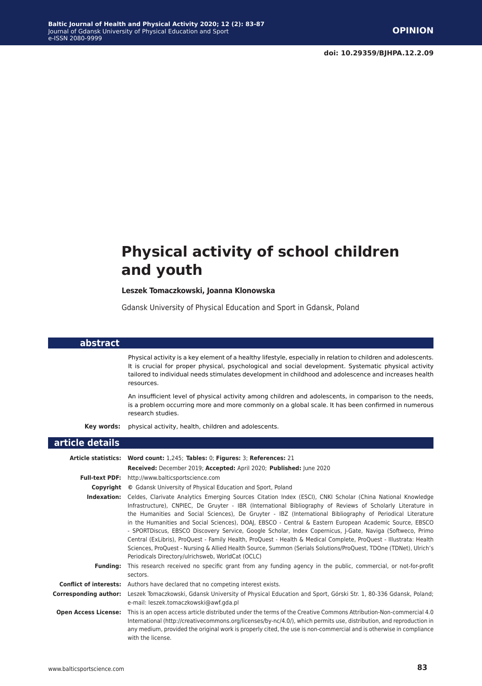# **Physical activity of school children and youth**

#### **Leszek Tomaczkowski, Joanna Klonowska**

Gdansk University of Physical Education and Sport in Gdansk, Poland

#### **abstract**

**Background:** Physical activity is a key element of a healthy lifestyle, especially in relation to children and adolescents. It is crucial for proper physical, psychological and social development. Systematic physical activity tailored to individual needs stimulates development in childhood and adolescence and increases health resources.

**Background:** An insufficient level of physical activity among children and adolescents, in comparison to the needs, is a problem occurring more and more commonly on a global scale. It has been confirmed in numerous research studies.

**Key words:** physical activity, health, children and adolescents.

#### **article details**

|                       | Article statistics: Word count: 1,245; Tables: 0; Figures: 3; References: 21                                                                                                                                                                                                                                                                                                                                                                                                                                                                                                                                                                                                                                                                                                                                                                                  |
|-----------------------|---------------------------------------------------------------------------------------------------------------------------------------------------------------------------------------------------------------------------------------------------------------------------------------------------------------------------------------------------------------------------------------------------------------------------------------------------------------------------------------------------------------------------------------------------------------------------------------------------------------------------------------------------------------------------------------------------------------------------------------------------------------------------------------------------------------------------------------------------------------|
|                       | Received: December 2019; Accepted: April 2020; Published: June 2020                                                                                                                                                                                                                                                                                                                                                                                                                                                                                                                                                                                                                                                                                                                                                                                           |
|                       | Full-text PDF: http://www.balticsportscience.com                                                                                                                                                                                                                                                                                                                                                                                                                                                                                                                                                                                                                                                                                                                                                                                                              |
| Copyright             | © Gdansk University of Physical Education and Sport, Poland                                                                                                                                                                                                                                                                                                                                                                                                                                                                                                                                                                                                                                                                                                                                                                                                   |
| Indexation:           | Celdes, Clarivate Analytics Emerging Sources Citation Index (ESCI), CNKI Scholar (China National Knowledge<br>Infrastructure), CNPIEC, De Gruyter - IBR (International Bibliography of Reviews of Scholarly Literature in<br>the Humanities and Social Sciences), De Gruyter - IBZ (International Bibliography of Periodical Literature<br>in the Humanities and Social Sciences), DOAJ, EBSCO - Central & Eastern European Academic Source, EBSCO<br>- SPORTDiscus, EBSCO Discovery Service, Google Scholar, Index Copernicus, J-Gate, Naviga (Softweco, Primo<br>Central (ExLibris), ProQuest - Family Health, ProQuest - Health & Medical Complete, ProQuest - Illustrata: Health<br>Sciences, ProQuest - Nursing & Allied Health Source, Summon (Serials Solutions/ProQuest, TDOne (TDNet), Ulrich's<br>Periodicals Directory/ulrichsweb, WorldCat (OCLC) |
| <b>Funding:</b>       | This research received no specific grant from any funding agency in the public, commercial, or not-for-profit<br>sectors.                                                                                                                                                                                                                                                                                                                                                                                                                                                                                                                                                                                                                                                                                                                                     |
|                       | <b>Conflict of interests:</b> Authors have declared that no competing interest exists.                                                                                                                                                                                                                                                                                                                                                                                                                                                                                                                                                                                                                                                                                                                                                                        |
| Corresponding author: | Leszek Tomaczkowski, Gdansk University of Physical Education and Sport, Górski Str. 1, 80-336 Gdansk, Poland;<br>e-mail: leszek.tomaczkowski@awf.gda.pl                                                                                                                                                                                                                                                                                                                                                                                                                                                                                                                                                                                                                                                                                                       |
|                       | <b>Open Access License:</b> This is an open access article distributed under the terms of the Creative Commons Attribution-Non-commercial 4.0<br>International (http://creativecommons.org/licenses/by-nc/4.0/), which permits use, distribution, and reproduction in<br>any medium, provided the original work is properly cited, the use is non-commercial and is otherwise in compliance<br>with the license.                                                                                                                                                                                                                                                                                                                                                                                                                                              |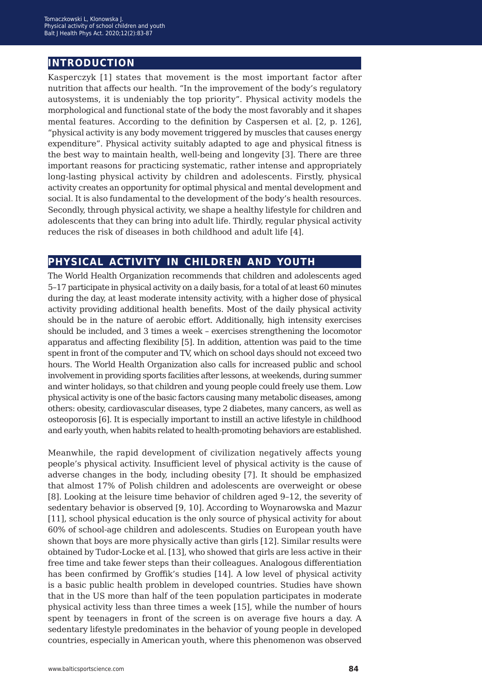## **introduction**

Kasperczyk [1] states that movement is the most important factor after nutrition that affects our health. "In the improvement of the body's regulatory autosystems, it is undeniably the top priority". Physical activity models the morphological and functional state of the body the most favorably and it shapes mental features. According to the definition by Caspersen et al. [2, p. 126], "physical activity is any body movement triggered by muscles that causes energy expenditure". Physical activity suitably adapted to age and physical fitness is the best way to maintain health, well-being and longevity [3]. There are three important reasons for practicing systematic, rather intense and appropriately long-lasting physical activity by children and adolescents. Firstly, physical activity creates an opportunity for optimal physical and mental development and social. It is also fundamental to the development of the body's health resources. Secondly, through physical activity, we shape a healthy lifestyle for children and adolescents that they can bring into adult life. Thirdly, regular physical activity reduces the risk of diseases in both childhood and adult life [4].

## **physical activity in children and youth**

The World Health Organization recommends that children and adolescents aged 5–17 participate in physical activity on a daily basis, for a total of at least 60 minutes during the day, at least moderate intensity activity, with a higher dose of physical activity providing additional health benefits. Most of the daily physical activity should be in the nature of aerobic effort. Additionally, high intensity exercises should be included, and 3 times a week – exercises strengthening the locomotor apparatus and affecting flexibility [5]. In addition, attention was paid to the time spent in front of the computer and TV, which on school days should not exceed two hours. The World Health Organization also calls for increased public and school involvement in providing sports facilities after lessons, at weekends, during summer and winter holidays, so that children and young people could freely use them. Low physical activity is one of the basic factors causing many metabolic diseases, among others: obesity, cardiovascular diseases, type 2 diabetes, many cancers, as well as osteoporosis [6]. It is especially important to instill an active lifestyle in childhood and early youth, when habits related to health-promoting behaviors are established.

Meanwhile, the rapid development of civilization negatively affects young people's physical activity. Insufficient level of physical activity is the cause of adverse changes in the body, including obesity [7]. It should be emphasized that almost 17% of Polish children and adolescents are overweight or obese [8]. Looking at the leisure time behavior of children aged 9–12, the severity of sedentary behavior is observed [9, 10]. According to Woynarowska and Mazur [11], school physical education is the only source of physical activity for about 60% of school-age children and adolescents. Studies on European youth have shown that boys are more physically active than girls [12]. Similar results were obtained by Tudor-Locke et al. [13], who showed that girls are less active in their free time and take fewer steps than their colleagues. Analogous differentiation has been confirmed by Groffik's studies [14]. A low level of physical activity is a basic public health problem in developed countries. Studies have shown that in the US more than half of the teen population participates in moderate physical activity less than three times a week [15], while the number of hours spent by teenagers in front of the screen is on average five hours a day. A sedentary lifestyle predominates in the behavior of young people in developed countries, especially in American youth, where this phenomenon was observed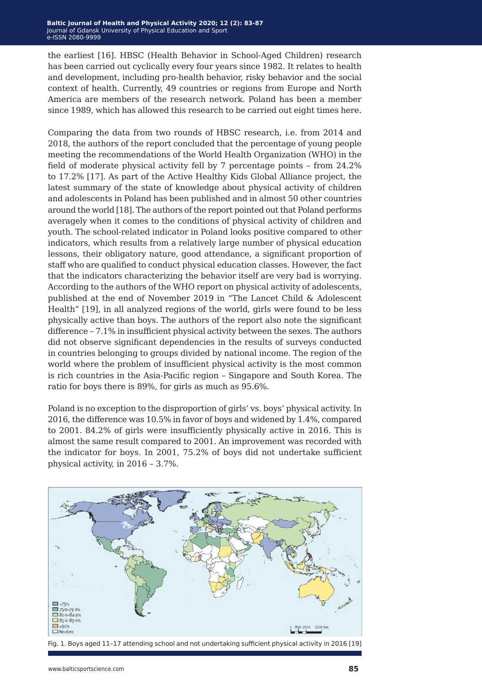the earliest [16]. HBSC (Health Behavior in School-Aged Children) research has been carried out cyclically every four years since 1982. It relates to health and development, including pro-health behavior, risky behavior and the social context of health. Currently, 49 countries or regions from Europe and North America are members of the research network. Poland has been a member since 1989, which has allowed this research to be carried out eight times here.

Comparing the data from two rounds of HBSC research, i.e. from 2014 and 2018, the authors of the report concluded that the percentage of young people meeting the recommendations of the World Health Organization (WHO) in the field of moderate physical activity fell by 7 percentage points – from 24.2% to 17.2% [17]. As part of the Active Healthy Kids Global Alliance project, the latest summary of the state of knowledge about physical activity of children and adolescents in Poland has been published and in almost 50 other countries around the world [18]. The authors of the report pointed out that Poland performs averagely when it comes to the conditions of physical activity of children and youth. The school-related indicator in Poland looks positive compared to other indicators, which results from a relatively large number of physical education lessons, their obligatory nature, good attendance, a significant proportion of staff who are qualified to conduct physical education classes. However, the fact that the indicators characterizing the behavior itself are very bad is worrying. According to the authors of the WHO report on physical activity of adolescents, published at the end of November 2019 in "The Lancet Child & Adolescent Health" [19], in all analyzed regions of the world, girls were found to be less physically active than boys. The authors of the report also note the significant difference – 7.1% in insufficient physical activity between the sexes. The authors did not observe significant dependencies in the results of surveys conducted in countries belonging to groups divided by national income. The region of the world where the problem of insufficient physical activity is the most common is rich countries in the Asia-Pacific region – Singapore and South Korea. The ratio for boys there is 89%, for girls as much as 95.6%.

Poland is no exception to the disproportion of girls' vs. boys' physical activity. In 2016, the difference was 10.5% in favor of boys and widened by 1.4%, compared to 2001. 84.2% of girls were insufficiently physically active in 2016. This is almost the same result compared to 2001. An improvement was recorded with the indicator for boys. In 2001, 75.2% of boys did not undertake sufficient physical activity, in 2016 – 3.7%.



Fig. 1. Boys aged 11–17 attending school and not undertaking sufficient physical activity in 2016 [19]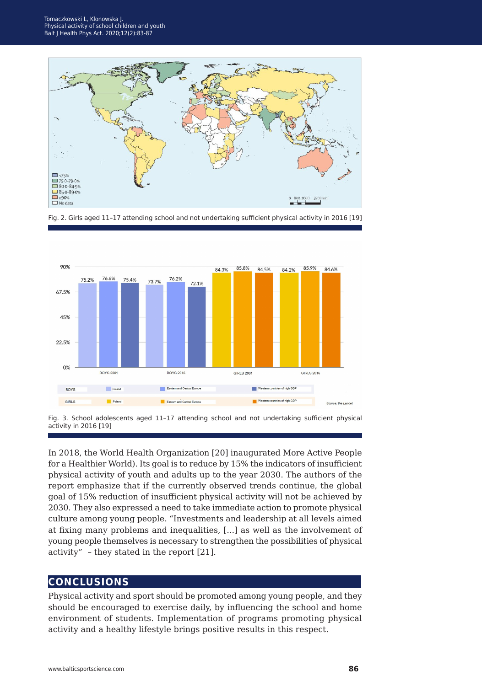







In 2018, the World Health Organization [20] inaugurated More Active People for a Healthier World). Its goal is to reduce by 15% the indicators of insufficient physical activity of youth and adults up to the year 2030. The authors of the report emphasize that if the currently observed trends continue, the global goal of 15% reduction of insufficient physical activity will not be achieved by 2030. They also expressed a need to take immediate action to promote physical culture among young people. "Investments and leadership at all levels aimed at fixing many problems and inequalities, [...] as well as the involvement of young people themselves is necessary to strengthen the possibilities of physical activity" – they stated in the report [21].

#### **conclusions**

Physical activity and sport should be promoted among young people, and they should be encouraged to exercise daily, by influencing the school and home environment of students. Implementation of programs promoting physical activity and a healthy lifestyle brings positive results in this respect.